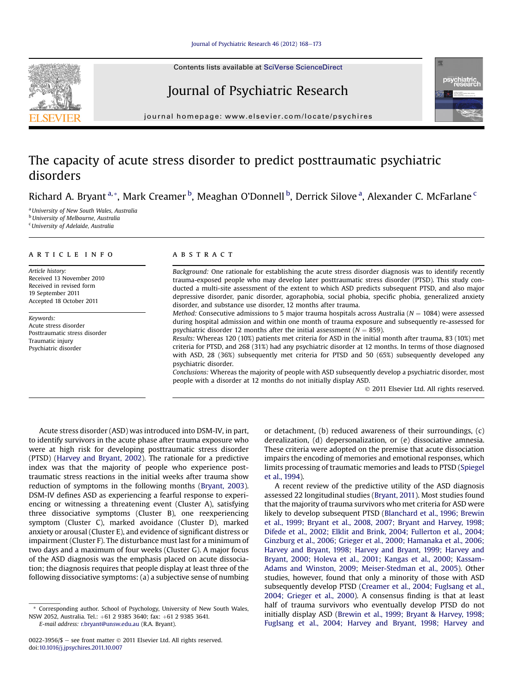Contents lists available at SciVerse ScienceDirect

## Journal of Psychiatric Research



 $j<sub>i</sub>$  and the page: where  $i<sub>i</sub>$  is the company companion

## The capacity of acute stress disorder to predict posttraumatic psychiatric disorders

Richard A. Bryant <sup>a,</sup>\*, Mark Creamer <sup>b</sup>, Meaghan O'Donnell <sup>b</sup>, Derrick Silove <sup>a</sup>, Alexander C. McFarlane <sup>c</sup>

<sup>a</sup> University of New South Wales, Australia **b** University of Melbourne, Australia <sup>c</sup> University of Adelaide, Australia

#### article info

Article history: Received 13 November 2010 Received in revised form 19 September 2011 Accepted 18 October 2011

Keywords: Acute stress disorder Posttraumatic stress disorder Traumatic injury Psychiatric disorder

### **ABSTRACT**

Background: One rationale for establishing the acute stress disorder diagnosis was to identify recently trauma-exposed people who may develop later posttraumatic stress disorder (PTSD). This study conducted a multi-site assessment of the extent to which ASD predicts subsequent PTSD, and also major depressive disorder, panic disorder, agoraphobia, social phobia, specific phobia, generalized anxiety disorder, and substance use disorder, 12 months after trauma.

*Method:* Consecutive admissions to 5 major trauma hospitals across Australia ( $N = 1084$ ) were assessed during hospital admission and within one month of trauma exposure and subsequently re-assessed for psychiatric disorder 12 months after the initial assessment ( $N = 859$ ).

Results: Whereas 120 (10%) patients met criteria for ASD in the initial month after trauma, 83 (10%) met criteria for PTSD, and 268 (31%) had any psychiatric disorder at 12 months. In terms of those diagnosed with ASD, 28 (36%) subsequently met criteria for PTSD and 50 (65%) subsequently developed any psychiatric disorder.

Conclusions: Whereas the majority of people with ASD subsequently develop a psychiatric disorder, most people with a disorder at 12 months do not initially display ASD.

2011 Elsevier Ltd. All rights reserved.

Acute stress disorder (ASD) was introduced into DSM-IV, in part, to identify survivors in the acute phase after trauma exposure who were at high risk for developing posttraumatic stress disorder (PTSD) (Harvey and Bryant, 2002). The rationale for a predictive index was that the majority of people who experience posttraumatic stress reactions in the initial weeks after trauma show reduction of symptoms in the following months (Bryant, 2003). DSM-IV defines ASD as experiencing a fearful response to experiencing or witnessing a threatening event (Cluster A), satisfying three dissociative symptoms (Cluster B), one reexperiencing symptom (Cluster C), marked avoidance (Cluster D), marked anxiety or arousal (Cluster E), and evidence of significant distress or impairment (Cluster F). The disturbance must last for a minimum of two days and a maximum of four weeks (Cluster G). A major focus of the ASD diagnosis was the emphasis placed on acute dissociation; the diagnosis requires that people display at least three of the following dissociative symptoms: (a) a subjective sense of numbing

\* Corresponding author. School of Psychology, University of New South Wales, NSW 2052, Australia. Tel.: +61 2 9385 3640; fax: +61 2 9385 3641.

E-mail address: [r.bryant@unsw.edu.au](mailto:r.bryant@unsw.edu.au) (R.A. Bryant).

or detachment, (b) reduced awareness of their surroundings, (c) derealization, (d) depersonalization, or (e) dissociative amnesia. These criteria were adopted on the premise that acute dissociation impairs the encoding of memories and emotional responses, which limits processing of traumatic memories and leads to PTSD (Spiegel et al., 1994).

A recent review of the predictive utility of the ASD diagnosis assessed 22 longitudinal studies (Bryant, 2011). Most studies found that the majority of trauma survivors who met criteria for ASD were likely to develop subsequent PTSD (Blanchard et al., 1996; Brewin et al., 1999; Bryant et al., 2008, 2007; Bryant and Harvey, 1998; Difede et al., 2002; Elklit and Brink, 2004; Fullerton et al., 2004; Ginzburg et al., 2006; Grieger et al., 2000; Hamanaka et al., 2006; Harvey and Bryant, 1998; Harvey and Bryant, 1999; Harvey and Bryant, 2000; Holeva et al., 2001; Kangas et al., 2000; Kassam-Adams and Winston, 2009; Meiser-Stedman et al., 2005). Other studies, however, found that only a minority of those with ASD subsequently develop PTSD (Creamer et al., 2004; Fuglsang et al., 2004; Grieger et al., 2000). A consensus finding is that at least half of trauma survivors who eventually develop PTSD do not initially display ASD (Brewin et al., 1999; Bryant & Harvey, 1998; Fuglsang et al., 2004; Harvey and Bryant, 1998; Harvey and

<sup>0022-3956/\$ -</sup> see front matter  $\odot$  2011 Elsevier Ltd. All rights reserved. doi:[10.1016/j.jpsychires.2011.10.007](http://dx.doi.org/10.1016/j.jpsychires.2011.10.007)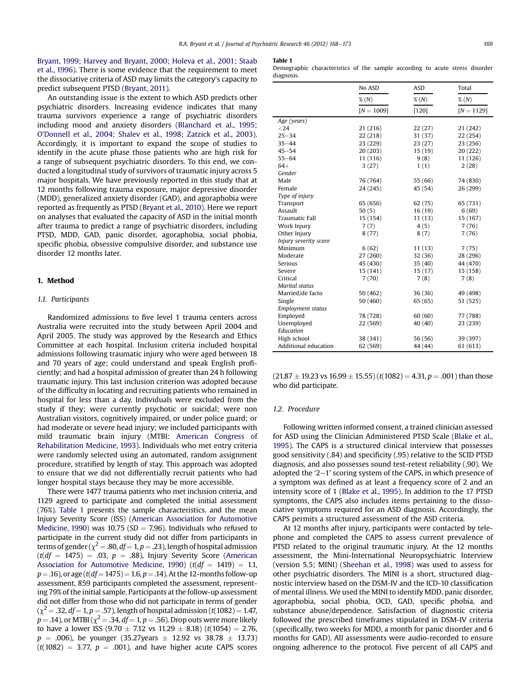Bryant, 1999; Harvey and Bryant, 2000; Holeva et al., 2001; Staab et al., 1996). There is some evidence that the requirement to meet the dissociative criteria of ASD may limits the category's capacity to predict subsequent PTSD (Bryant, 2011).

An outstanding issue is the extent to which ASD predicts other psychiatric disorders. Increasing evidence indicates that many trauma survivors experience a range of psychiatric disorders including mood and anxiety disorders (Blanchard et al., 1995; O'Donnell et al., 2004; Shalev et al., 1998; Zatzick et al., 2003). Accordingly, it is important to expand the scope of studies to identify in the acute phase those patients who are high risk for a range of subsequent psychiatric disorders. To this end, we conducted a longitudinal study of survivors of traumatic injury across 5 major hospitals. We have previously reported in this study that at 12 months following trauma exposure, major depressive disorder (MDD), generalized anxiety disorder (GAD), and agoraphobia were reported as frequently as PTSD (Bryant et al., 2010). Here we report on analyses that evaluated the capacity of ASD in the initial month after trauma to predict a range of psychiatric disorders, including PTSD, MDD, GAD, panic disorder, agoraphobia, social phobia, specific phobia, obsessive compulsive disorder, and substance use disorder 12 months later.

## 1. Method

### 1.1. Participants

Randomized admissions to five level 1 trauma centers across Australia were recruited into the study between April 2004 and April 2005. The study was approved by the Research and Ethics Committee at each hospital. Inclusion criteria included hospital admissions following traumatic injury who were aged between 18 and 70 years of age; could understand and speak English proficiently; and had a hospital admission of greater than 24 h following traumatic injury. This last inclusion criterion was adopted because of the difficulty in locating and recruiting patients who remained in hospital for less than a day. Individuals were excluded from the study if they; were currently psychotic or suicidal; were non Australian visitors, cognitively impaired, or under police guard; or had moderate or severe head injury; we included participants with mild traumatic brain injury (MTBI: American Congress of Rehabilitation Medicine, 1993). Individuals who met entry criteria were randomly selected using an automated, random assignment procedure, stratified by length of stay. This approach was adopted to ensure that we did not differentially recruit patients who had longer hospital stays because they may be more accessible.

There were 1477 trauma patients who met inclusion criteria, and 1129 agreed to participate and completed the initial assessment (76%). Table 1 presents the sample characteristics. and the mean Injury Severity Score (ISS) (American Association for Automotive Medicine, 1990) was 10.75 ( $SD = 7.96$ ). Individuals who refused to participate in the current study did not differ from participants in terms of gender ( $\chi^2$  = .80, df = 1, p = .23), length of hospital admission  $(t(df = 1475) = .03, p = .88)$ , Injury Severity Score (American Association for Automotive Medicine, 1990) ( $t(df = 1419) = 1.1$ ,  $p = .16$ ), or age ( $t(df = 1475) = 1.6$ ,  $p = .14$ ). At the 12-months follow-up assessment, 859 participants completed the assessment, representing 79% of the initial sample. Participants at the follow-up assessment did not differ from those who did not participate in terms of gender  $(\chi^2 = .32, df = 1, p = .57)$ , length of hospital admission (t(1082) = 1.47,  $p = .14$ ), or MTBI ( $\chi^2 = .34$ ,  $df = 1$ ,  $p = .56$ ). Drop outs were more likely to have a lower ISS (9.70  $\pm$  7.12 vs 11.29  $\pm$  8.18) (t(1054) = 2.76,  $p = .006$ ), be younger (35.27years  $\pm$  12.92 vs 38.78  $\pm$  13.73)  $(t(1082) = 3.77, p = .001)$ , and have higher acute CAPS scores

#### Table 1

Demographic characteristics of the sample according to acute stress disorder diagnosis.

|                          | No ASD       | <b>ASD</b> | Total        |
|--------------------------|--------------|------------|--------------|
|                          | $\%$ $(N)$   | $\%$ (N)   | $\%$ (N)     |
|                          | $[N = 1009]$ | $[120]$    | $[N = 1129]$ |
| Age (years)              |              |            |              |
| $24$                     | 21 (216)     | 22(27)     | 21 (242)     |
| $25 - 34$                | 22 (218)     | 31 (37)    | 22 (254)     |
| $35 - 44$                | 23 (229)     | 23(27)     | 23 (256)     |
| $45 - 54$                | 20 (203)     | 15(19)     | 20 (222)     |
| $55 - 64$                | 11 (116)     | 9(8)       | 11 (126)     |
| $64+$                    | 3(27)        | 1(1)       | 2(28)        |
| Gender                   |              |            |              |
| Male                     | 76 (764)     | 55 (66)    | 74 (830)     |
| Female                   | 24 (245)     | 45 (54)    | 26 (299)     |
| Type of injury           |              |            |              |
| Transport                | 65 (656)     | 62(75)     | 65 (731)     |
| Assault                  | 50(5)        | 16(19)     | 6(69)        |
| <b>Traumatic Fall</b>    | 15 (154)     | 11(13)     | 15 (167)     |
| Work Injury              | 7(7)         | 4(5)       | 7(76)        |
| Other Injury             | 8(77)        | 8(7)       | 7(76)        |
| Injury severity score    |              |            |              |
| Minimum                  | 6(62)        | 11(13)     | 7(75)        |
| Moderate                 | 27 (260)     | 32(36)     | 28 (296)     |
| Serious                  | 45 (430)     | 35(40)     | 44 (470)     |
| Severe                   | 15 (141)     | 15(17)     | 15 (158)     |
| Critical                 | 7(70)        | 7(8)       | 7(8)         |
| <b>Marital</b> status    |              |            |              |
| Married/de facto         | 50 (462)     | 36(36)     | 49 (498)     |
| Single                   | 50 (460)     | 65(65)     | 51 (525)     |
| <b>Employment status</b> |              |            |              |
| Employed                 | 78 (728)     | 60(60)     | 77 (788)     |
| Unemployed               | 22 (569)     | 40 (40)    | 23 (239)     |
| Education                |              |            |              |
| High school              | 38 (341)     | 56 (56)    | 39 (397)     |
| Additional education     | 62 (569)     | 44 (44)    | 61 (613)     |

 $(21.87 \pm 19.23 \text{ vs } 16.99 \pm 15.55)$   $(t(1082) = 4.31, p = .001)$  than those who did participate.

#### 1.2. Procedure

Following written informed consent, a trained clinician assessed for ASD using the Clinician Administered PTSD Scale (Blake et al., 1995). The CAPS is a structured clinical interview that possesses good sensitivity (.84) and specificity (.95) relative to the SCID PTSD diagnosis, and also possesses sound test-retest reliability (.90). We adopted the ' $2-1$ ' scoring system of the CAPS, in which presence of a symptom was defined as at least a frequency score of 2 and an intensity score of 1 (Blake et al., 1995). In addition to the 17 PTSD symptoms, the CAPS also includes items pertaining to the dissociative symptoms required for an ASD diagnosis. Accordingly, the CAPS permits a structured assessment of the ASD criteria.

At 12 months after injury, participants were contacted by telephone and completed the CAPS to assess current prevalence of PTSD related to the original traumatic injury. At the 12 months assessment, the Mini-International Neuropsychiatric Interview (version 5.5; MINI) (Sheehan et al., 1998) was used to assess for other psychiatric disorders. The MINI is a short, structured diagnostic interview based on the DSM-IV and the ICD-10 classification of mental illness. We used the MINI to identify MDD, panic disorder, agoraphobia, social phobia, OCD, GAD, specific phobia, and substance abuse/dependence. Satisfaction of diagnostic criteria followed the prescribed timeframes stipulated in DSM-IV criteria (specifically, two weeks for MDD, a month for panic disorder and 6 months for GAD). All assessments were audio-recorded to ensure ongoing adherence to the protocol. Five percent of all CAPS and